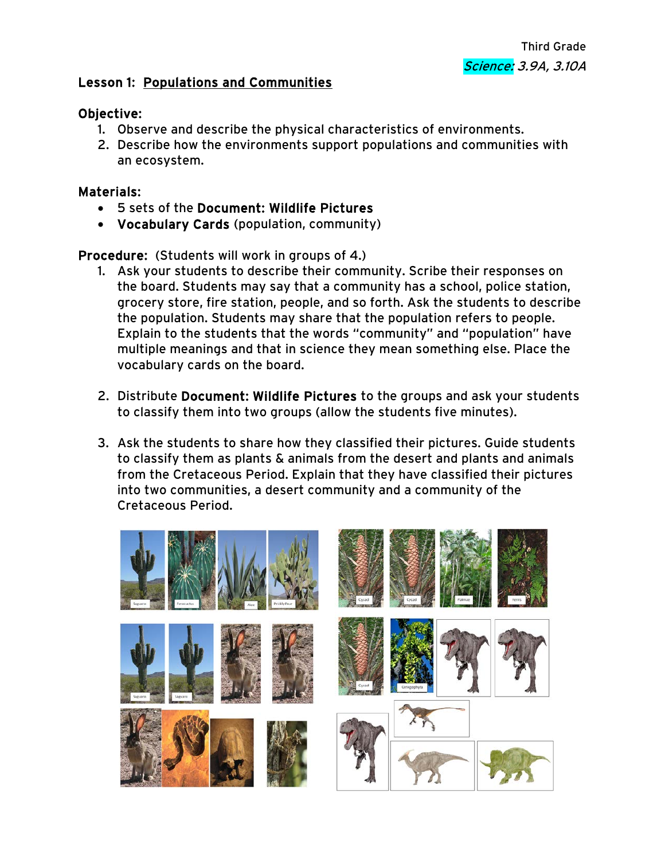## Lesson 1: Populations and Communities

## Objective:

- 1. Observe and describe the physical characteristics of environments.
- 2. Describe how the environments support populations and communities with an ecosystem.

## Materials:

- 5 sets of the Document: Wildlife Pictures
- Vocabulary Cards (population, community)

Procedure: (Students will work in groups of 4.)

- 1. Ask your students to describe their community. Scribe their responses on the board. Students may say that a community has a school, police station, grocery store, fire station, people, and so forth. Ask the students to describe the population. Students may share that the population refers to people. Explain to the students that the words "community" and "population" have multiple meanings and that in science they mean something else. Place the vocabulary cards on the board.
- 2. Distribute Document: Wildlife Pictures to the groups and ask your students to classify them into two groups (allow the students five minutes).
- 3. Ask the students to share how they classified their pictures. Guide students to classify them as plants & animals from the desert and plants and animals from the Cretaceous Period. Explain that they have classified their pictures into two communities, a desert community and a community of the Cretaceous Period.